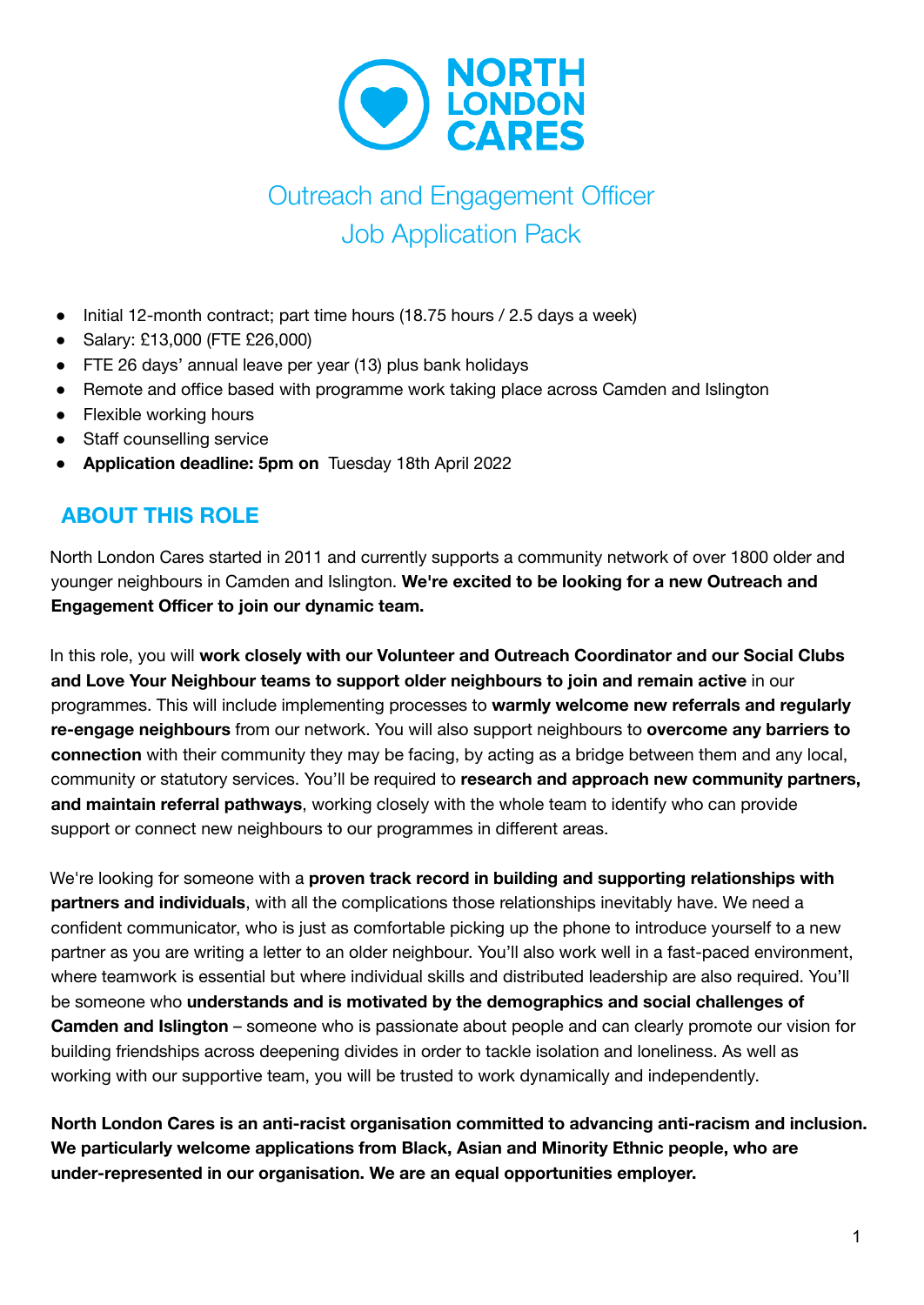

# Outreach and Engagement Officer Job Application Pack

- Initial 12-month contract; part time hours (18.75 hours / 2.5 days a week)
- Salary: £13,000 (FTE £26,000)
- FTE 26 days' annual leave per year (13) plus bank holidays
- Remote and office based with programme work taking place across Camden and Islington
- Flexible working hours
- Staff counselling service
- **Application deadline: 5pm on** Tuesday 18th April 2022

# **ABOUT THIS ROLE**

North London Cares started in 2011 and currently supports a community network of over 1800 older and younger neighbours in Camden and Islington. **We're excited to be looking for a new Outreach and Engagement Officer to join our dynamic team.**

In this role, you will **work closely with our Volunteer and Outreach Coordinator and our Social Clubs and Love Your Neighbour teams to support older neighbours to join and remain active** in our programmes. This will include implementing processes to **warmly welcome new referrals and regularly re-engage neighbours** from our network. You will also support neighbours to **overcome any barriers to connection** with their community they may be facing, by acting as a bridge between them and any local, community or statutory services. You'll be required to **research and approach new community partners, and maintain referral pathways**, working closely with the whole team to identify who can provide support or connect new neighbours to our programmes in different areas.

We're looking for someone with a **proven track record in building and supporting relationships with partners and individuals**, with all the complications those relationships inevitably have. We need a confident communicator, who is just as comfortable picking up the phone to introduce yourself to a new partner as you are writing a letter to an older neighbour. You'll also work well in a fast-paced environment, where teamwork is essential but where individual skills and distributed leadership are also required. You'll be someone who **understands and is motivated by the demographics and social challenges of Camden and Islington** – someone who is passionate about people and can clearly promote our vision for building friendships across deepening divides in order to tackle isolation and loneliness. As well as working with our supportive team, you will be trusted to work dynamically and independently.

**North London Cares is an anti-racist organisation committed to advancing anti-racism and inclusion. We particularly welcome applications from Black, Asian and Minority Ethnic people, who are under-represented in our organisation. We are an equal opportunities employer.**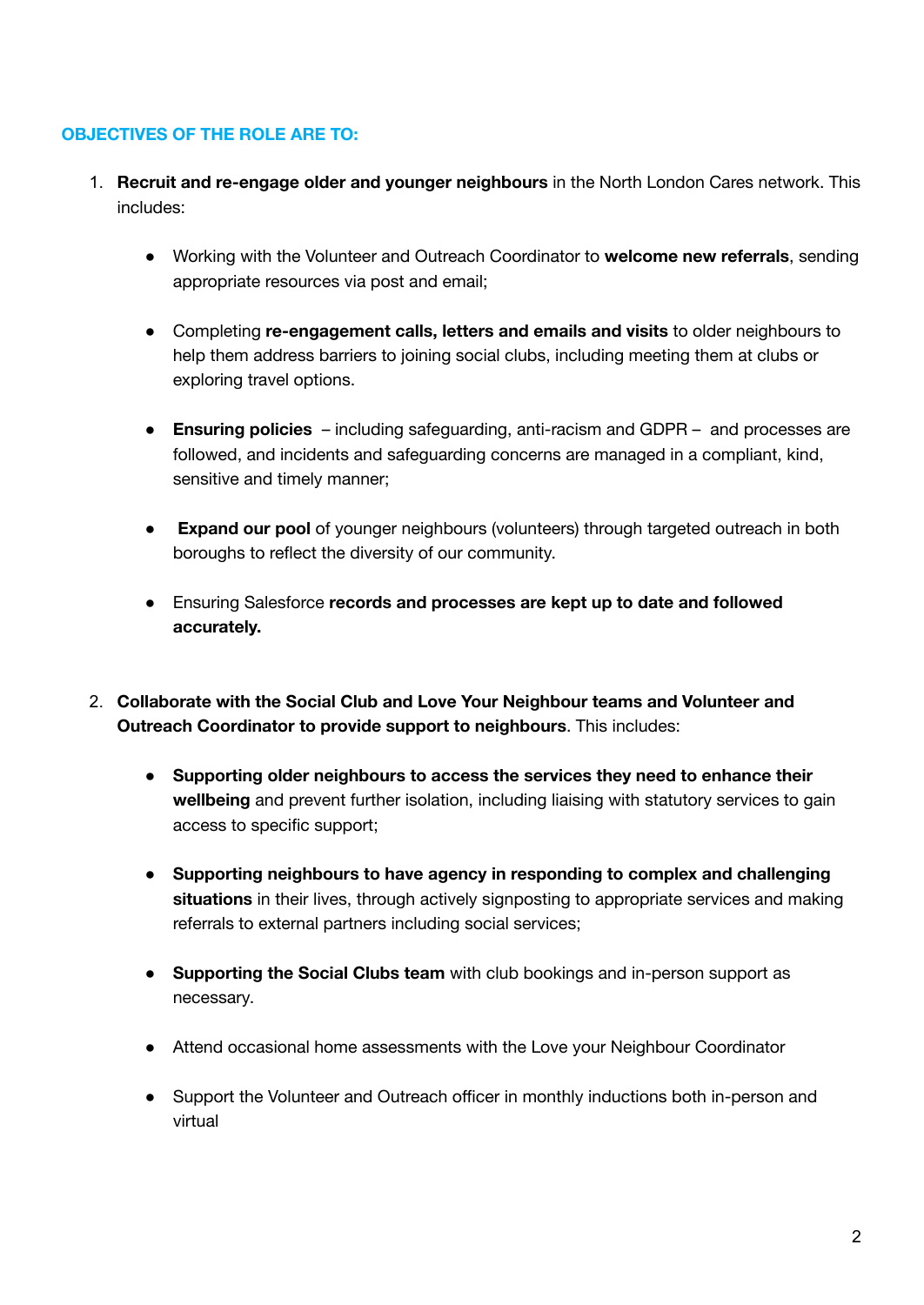#### **OBJECTIVES OF THE ROLE ARE TO:**

- 1. **Recruit and re-engage older and younger neighbours** in the North London Cares network. This includes:
	- Working with the Volunteer and Outreach Coordinator to **welcome new referrals**, sending appropriate resources via post and email;
	- Completing **re-engagement calls, letters and emails and visits** to older neighbours to help them address barriers to joining social clubs, including meeting them at clubs or exploring travel options.
	- **Ensuring policies** including safeguarding, anti-racism and GDPR and processes are followed, and incidents and safeguarding concerns are managed in a compliant, kind, sensitive and timely manner;
	- **Expand our pool** of younger neighbours (volunteers) through targeted outreach in both boroughs to reflect the diversity of our community.
	- Ensuring Salesforce **records and processes are kept up to date and followed accurately.**
- 2. **Collaborate with the Social Club and Love Your Neighbour teams and Volunteer and Outreach Coordinator to provide support to neighbours**. This includes:
	- **Supporting older neighbours to access the services they need to enhance their wellbeing** and prevent further isolation, including liaising with statutory services to gain access to specific support;
	- **Supporting neighbours to have agency in responding to complex and challenging situations** in their lives, through actively signposting to appropriate services and making referrals to external partners including social services;
	- **Supporting the Social Clubs team** with club bookings and in-person support as necessary.
	- Attend occasional home assessments with the Love your Neighbour Coordinator
	- Support the Volunteer and Outreach officer in monthly inductions both in-person and virtual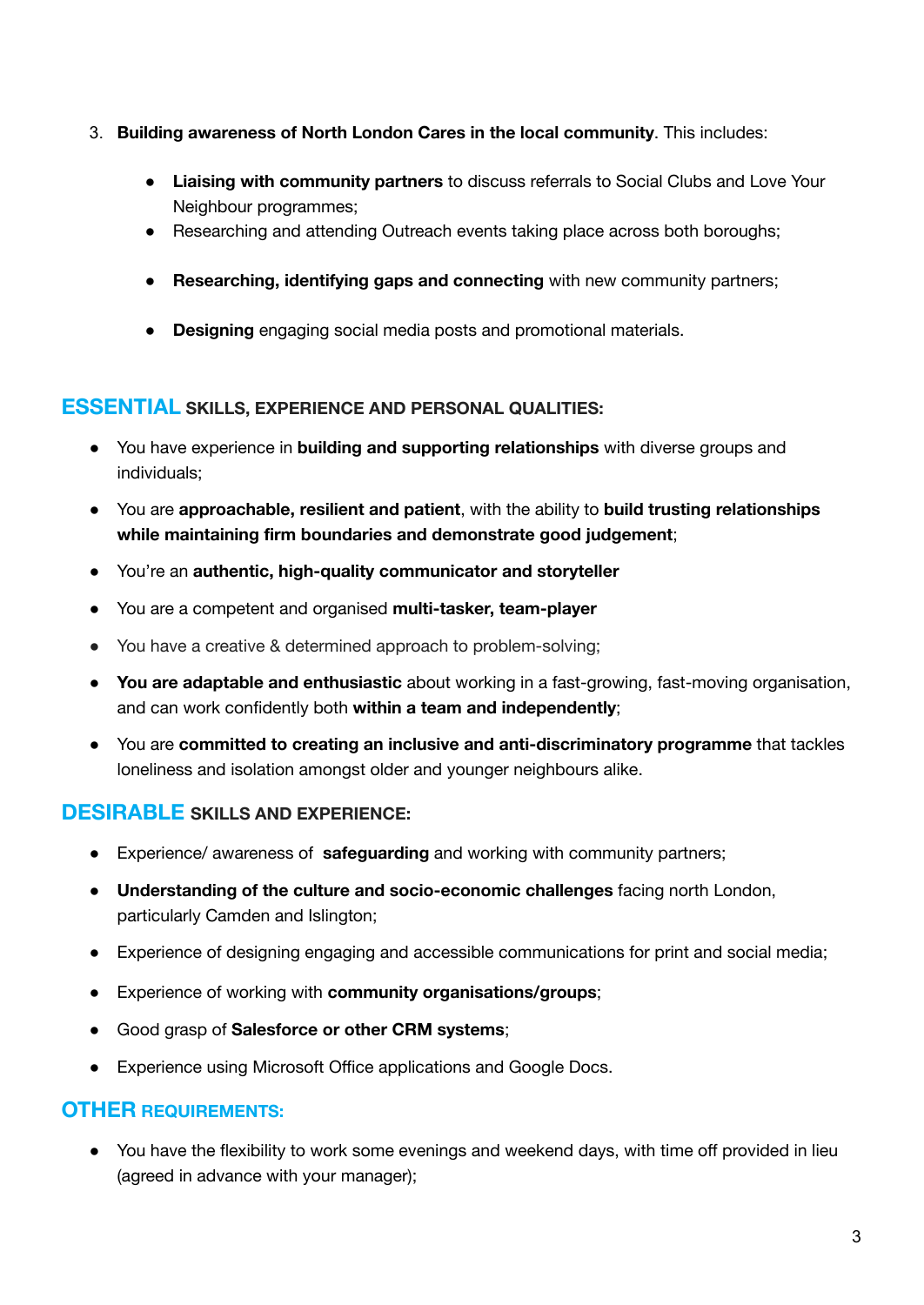- 3. **Building awareness of North London Cares in the local community**. This includes:
	- **Liaising with community partners** to discuss referrals to Social Clubs and Love Your Neighbour programmes;
	- Researching and attending Outreach events taking place across both boroughs;
	- **● Researching, identifying gaps and connecting** with new community partners;
	- **Designing** engaging social media posts and promotional materials.

#### **ESSENTIAL SKILLS, EXPERIENCE AND PERSONAL QUALITIES:**

- You have experience in **building and supporting relationships** with diverse groups and individuals;
- You are **approachable, resilient and patient**, with the ability to **build trusting relationships while maintaining firm boundaries and demonstrate good judgement**;
- You're an **authentic, high-quality communicator and storyteller**
- You are a competent and organised **multi-tasker, team-player**
- You have a creative & determined approach to problem-solving;
- **You are adaptable and enthusiastic** about working in a fast-growing, fast-moving organisation, and can work confidently both **within a team and independently**;
- You are **committed to creating an inclusive and anti-discriminatory programme** that tackles loneliness and isolation amongst older and younger neighbours alike.

# **DESIRABLE SKILLS AND EXPERIENCE:**

- Experience/ awareness of **safeguarding** and working with community partners;
- **Understanding of the culture and socio-economic challenges** facing north London, particularly Camden and Islington;
- Experience of designing engaging and accessible communications for print and social media;
- Experience of working with **community organisations/groups**;
- Good grasp of **Salesforce or other CRM systems**;
- Experience using Microsoft Office applications and Google Docs.

## **OTHER REQUIREMENTS:**

• You have the flexibility to work some evenings and weekend days, with time off provided in lieu (agreed in advance with your manager);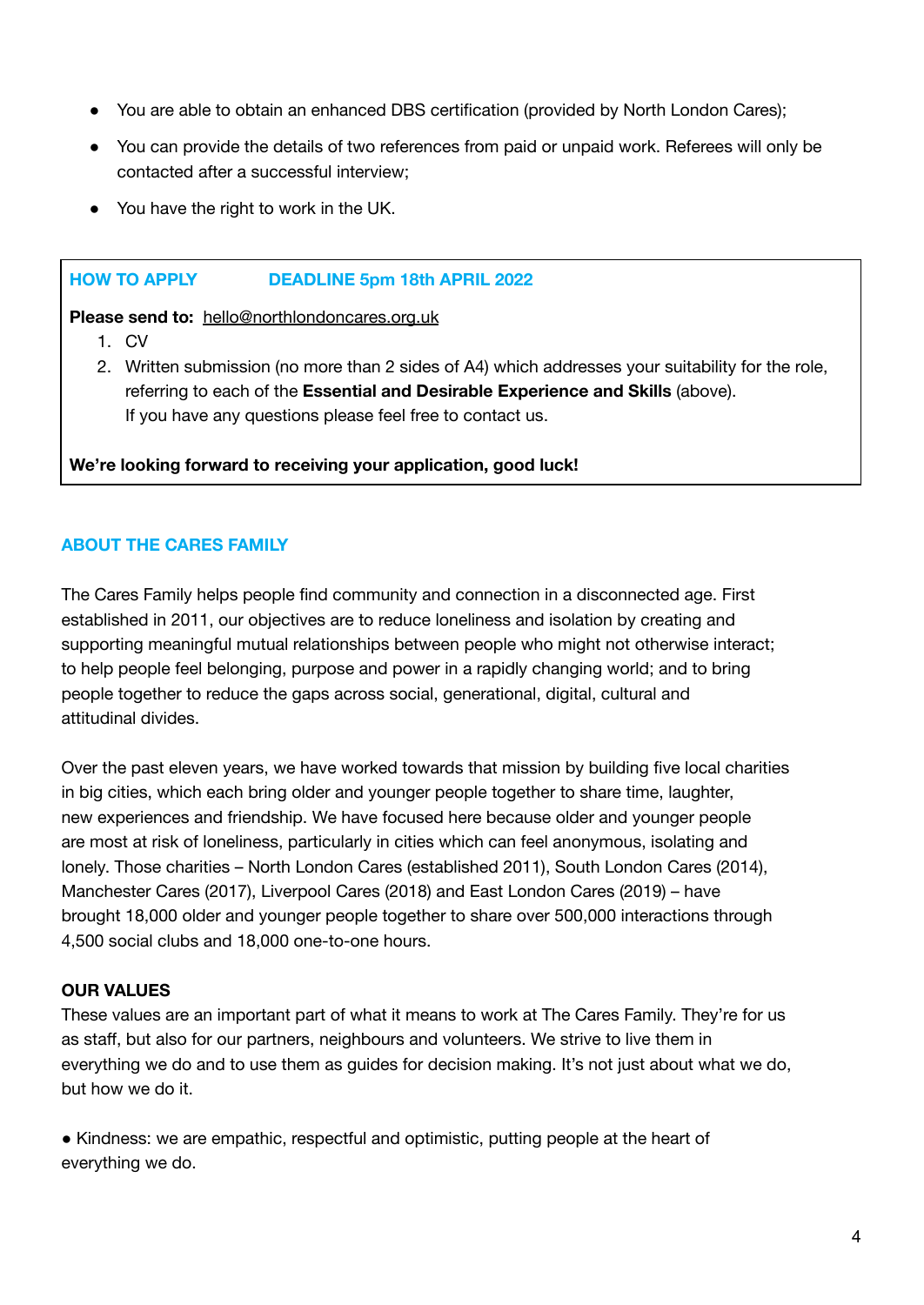- You are able to obtain an enhanced DBS certification (provided by North London Cares);
- You can provide the details of two references from paid or unpaid work. Referees will only be contacted after a successful interview;
- You have the right to work in the UK.

#### **HOW TO APPLY DEADLINE 5pm 18th APRIL 2022**

**Please send to:** [hello@northlondoncares.org.uk](mailto:hello@northlondoncares.org.uk)

- 1. CV
- 2. Written submission (no more than 2 sides of A4) which addresses your suitability for the role, referring to each of the **Essential and Desirable Experience and Skills** (above). If you have any questions please feel free to contact us.

**We're looking forward to receiving your application, good luck!**

## **ABOUT THE CARES FAMILY**

The Cares Family helps people find community and connection in a disconnected age. First established in 2011, our objectives are to reduce loneliness and isolation by creating and supporting meaningful mutual relationships between people who might not otherwise interact; to help people feel belonging, purpose and power in a rapidly changing world; and to bring people together to reduce the gaps across social, generational, digital, cultural and attitudinal divides.

Over the past eleven years, we have worked towards that mission by building five local charities in big cities, which each bring older and younger people together to share time, laughter, new experiences and friendship. We have focused here because older and younger people are most at risk of loneliness, particularly in cities which can feel anonymous, isolating and lonely. Those charities – North London Cares (established 2011), South London Cares (2014), Manchester Cares (2017), Liverpool Cares (2018) and East London Cares (2019) – have brought 18,000 older and younger people together to share over 500,000 interactions through 4,500 social clubs and 18,000 one-to-one hours.

## **OUR VALUES**

These values are an important part of what it means to work at The Cares Family. They're for us as staff, but also for our partners, neighbours and volunteers. We strive to live them in everything we do and to use them as guides for decision making. It's not just about what we do, but how we do it.

● Kindness: we are empathic, respectful and optimistic, putting people at the heart of everything we do.